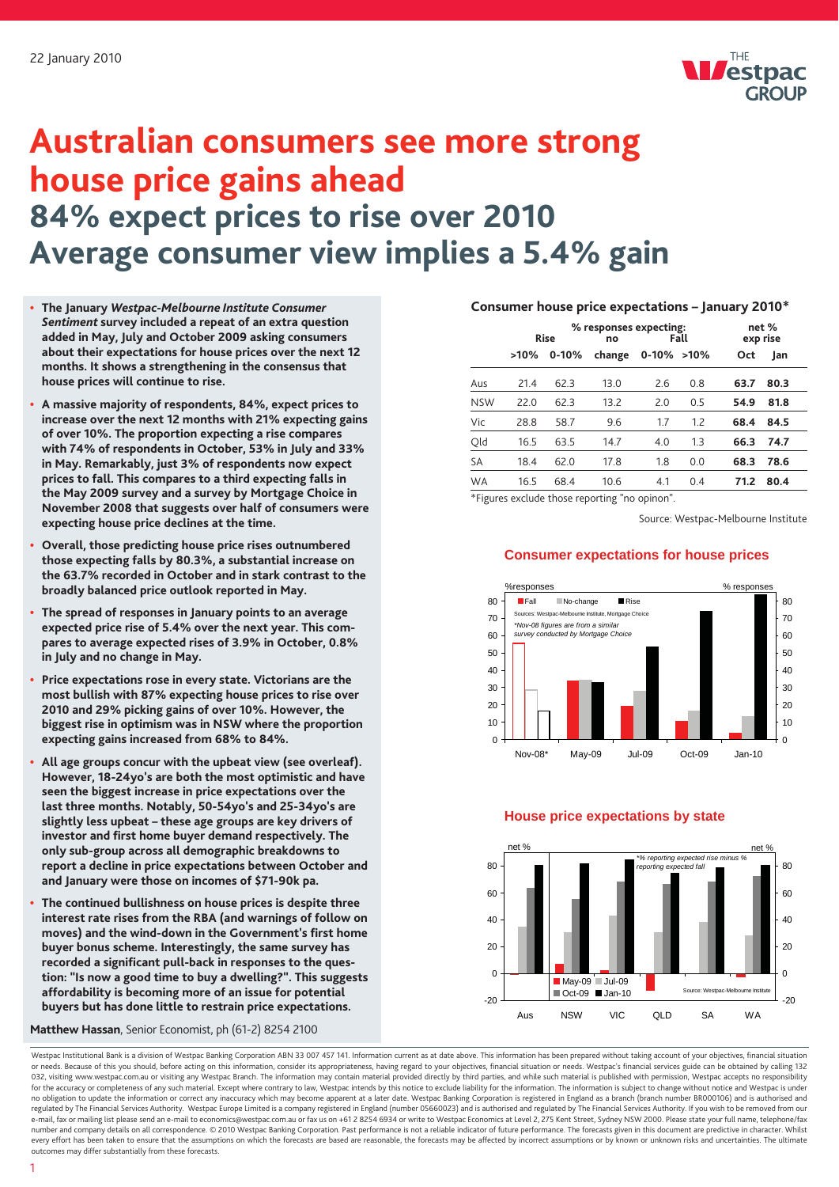

# **Australian consumers see more strong house price gains ahead 84% expect prices to rise over 2010 Average consumer view implies a 5.4% gain**

- **The January** *Westpac-Melbourne Institute Consumer Sentiment* **survey included a repeat of an extra question added in May, July and October 2009 asking consumers about their expectations for house prices over the next 12 months. It shows a strengthening in the consensus that house prices will continue to rise.**
- **A massive majority of respondents, 84%, expect prices to increase over the next 12 months with 21% expecting gains of over 10%. The proportion expecting a rise compares with 74% of respondents in October, 53% in July and 33% in May. Remarkably, just 3% of respondents now expect prices to fall. This compares to a third expecting falls in the May 2009 survey and a survey by Mortgage Choice in November 2008 that suggests over half of consumers were expecting house price declines at the time.**
- **Overall, those predicting house price rises outnumbered those expecting falls by 80.3%, a substantial increase on the 63.7% recorded in October and in stark contrast to the broadly balanced price outlook reported in May.**
- **The spread of responses in January points to an average expected price rise of 5.4% over the next year. This compares to average expected rises of 3.9% in October, 0.8% in July and no change in May.**
- **Price expectations rose in every state. Victorians are the most bullish with 87% expecting house prices to rise over 2010 and 29% picking gains of over 10%. However, the biggest rise in optimism was in NSW where the proportion expecting gains increased from 68% to 84%.**
- **All age groups concur with the upbeat view (see overleaf). However, 18-24yo's are both the most optimistic and have seen the biggest increase in price expectations over the last three months. Notably, 50-54yo's and 25-34yo's are slightly less upbeat – these age groups are key drivers of investor and first home buyer demand respectively. The only sub-group across all demographic breakdowns to report a decline in price expectations between October and and January were those on incomes of \$71-90k pa.**
- **The continued bullishness on house prices is despite three interest rate rises from the RBA (and warnings of follow on moves) and the wind-down in the Government's first home buyer bonus scheme. Interestingly, the same survey has recorded a significant pull-back in responses to the question: "Is now a good time to buy a dwelling?". This suggests affordability is becoming more of an issue for potential buyers but has done little to restrain price expectations.**

**Matthew Hassan**, Senior Economist, ph (61-2) 8254 2100

### **Consumer house price expectations – January 2010\***

|            | <b>Rise</b> |         | % responses expecting:<br>no |                 | Fall |      | net %<br>exp rise |  |
|------------|-------------|---------|------------------------------|-----------------|------|------|-------------------|--|
|            | $>10\%$     | $0-10%$ | change                       | $0-10\% > 10\%$ |      | Oct  | <b>Jan</b>        |  |
| Aus        | 21.4        | 62.3    | 13.0                         | 2.6             | 0.8  | 63.7 | 80.3              |  |
| <b>NSW</b> | 22.0        | 62.3    | 13.2                         | 2.0             | 0.5  | 54.9 | 81.8              |  |
| Vic        | 28.8        | 58.7    | 9.6                          | 1.7             | 1.2  | 68.4 | 84.5              |  |
| Qld        | 16.5        | 63.5    | 14.7                         | 4.0             | 1.3  | 66.3 | 74.7              |  |
| <b>SA</b>  | 18.4        | 62.0    | 17.8                         | 1.8             | 0.0  | 68.3 | 78.6              |  |
| <b>WA</b>  | 16.5        | 68.4    | 10.6                         | 4.1             | 0.4  | 71.2 | 80.4              |  |
| $\cdots$   | .           |         | $\cdots$<br>$\sim$           |                 |      |      |                   |  |

\*Figures exclude those reporting "no opinon".

Source: Westpac-Melbourne Institute



# **Consumer expectations for house prices**

### **House price expectations by state**



Westpac Institutional Bank is a division of Westpac Banking Corporation ABN 33 007 457 141. Information current as at date above. This information has been prepared without taking account of your objectives, financial situ or needs. Because of this you should, before acting on this information, consider its appropriateness, having regard to your objectives, financial situation or needs. Westpac's financial services guide can be obtained by c 032, visiting www.westpac.com.au or visiting any Westpac Branch. The information may contain material provided directly by third parties, and while such material is published with permission, Westpac accepts no responsibil for the accuracy or completeness of any such material. Except where contrary to law, Westpac intends by this notice to exclude liability for the information. The information is subject to change without notice and Westpac no obligation to update the information or correct any inaccuracy which may become apparent at a later date. Westpac Banking Corporation is registered in England as a branch (branch number BR000106) and is authorised and regulated by The Financial Services Authority. Westpac Europe Limited is a company registered in England (number 05660023) and is authorised and regulated by The Financial Services Authority. If you wish to be removed from number and company details on all correspondence. © 2010 Westpac Banking Corporation. Past performance is not a reliable indicator of future performance. The forecasts given in this document are predictive in character. Wh every effort has been taken to ensure that the assumptions on which the forecasts are based are reasonable, the forecasts may be affected by incorrect assumptions or by known or unknown risks and uncertainties. The ultimat outcomes may differ substantially from these forecasts.